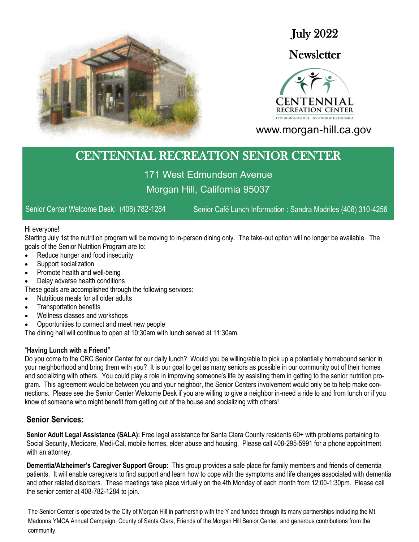

July 2022

# **Newsletter**



www.morgan-hill.ca.gov

# CENTENNIAL RECREATION SENIOR CENTER

171 West Edmundson Avenue Morgan Hill, California 95037

Senior Center Welcome Desk: (408) 782-1284 Senior Café Lunch Information : Sandra Madriles (408) 310-4256

#### Hi everyone!

Starting July 1st the nutrition program will be moving to in-person dining only. The take-out option will no longer be available. The goals of the Senior Nutrition Program are to:

- Reduce hunger and food insecurity
- Support socialization
- Promote health and well-being
- Delay adverse health conditions
- These goals are accomplished through the following services:
- Nutritious meals for all older adults
- Transportation benefits
- Wellness classes and workshops
- Opportunities to connect and meet new people

The dining hall will continue to open at 10:30am with lunch served at 11:30am.

#### "**Having Lunch with a Friend"**

Do you come to the CRC Senior Center for our daily lunch? Would you be willing/able to pick up a potentially homebound senior in your neighborhood and bring them with you? It is our goal to get as many seniors as possible in our community out of their homes and socializing with others. You could play a role in improving someone's life by assisting them in getting to the senior nutrition program. This agreement would be between you and your neighbor, the Senior Centers involvement would only be to help make connections. Please see the Senior Center Welcome Desk if you are willing to give a neighbor in-need a ride to and from lunch or if you know of someone who might benefit from getting out of the house and socializing with others!

## **Senior Services:**

**Senior Adult Legal Assistance (SALA):** Free legal assistance for Santa Clara County residents 60+ with problems pertaining to Social Security, Medicare, Medi-Cal, mobile homes, elder abuse and housing. Please call 408-295-5991 for a phone appointment with an attorney.

**Dementia/Alzheimer's Caregiver Support Group:** This group provides a safe place for family members and friends of dementia patients. It will enable caregivers to find support and learn how to cope with the symptoms and life changes associated with dementia and other related disorders. These meetings take place virtually on the 4th Monday of each month from 12:00-1:30pm. Please call the senior center at 408-782-1284 to join.

The Senior Center is operated by the City of Morgan Hill in partnership with the Y and funded through its many partnerships including the Mt. Madonna YMCA Annual Campaign, County of Santa Clara, Friends of the Morgan Hill Senior Center, and generous contributions from the community.